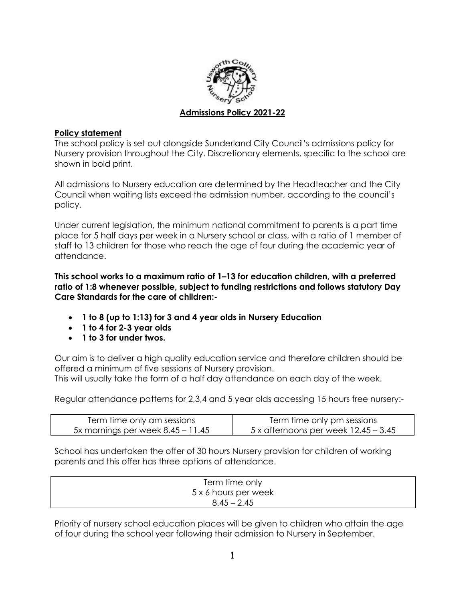

## **Policy statement**

The school policy is set out alongside Sunderland City Council's admissions policy for Nursery provision throughout the City. Discretionary elements, specific to the school are shown in bold print.

All admissions to Nursery education are determined by the Headteacher and the City Council when waiting lists exceed the admission number, according to the council's policy.

Under current legislation, the minimum national commitment to parents is a part time place for 5 half days per week in a Nursery school or class, with a ratio of 1 member of staff to 13 children for those who reach the age of four during the academic year of attendance.

**This school works to a maximum ratio of 1–13 for education children, with a preferred ratio of 1:8 whenever possible, subject to funding restrictions and follows statutory Day Care Standards for the care of children:-**

- **1 to 8 (up to 1:13) for 3 and 4 year olds in Nursery Education**
- **1 to 4 for 2-3 year olds**
- **1 to 3 for under twos.**

Our aim is to deliver a high quality education service and therefore children should be offered a minimum of five sessions of Nursery provision.

This will usually take the form of a half day attendance on each day of the week.

Regular attendance patterns for 2,3,4 and 5 year olds accessing 15 hours free nursery:-

| Term time only am sessions          | Term time only pm sessions                    |
|-------------------------------------|-----------------------------------------------|
| 5x mornings per week $8.45 - 11.45$ | $5 \times$ afternoons per week $12.45 - 3.45$ |

School has undertaken the offer of 30 hours Nursery provision for children of working parents and this offer has three options of attendance.

| Term time only       |  |
|----------------------|--|
| 5 x 6 hours per week |  |
| $8.45 - 2.45$        |  |

Priority of nursery school education places will be given to children who attain the age of four during the school year following their admission to Nursery in September.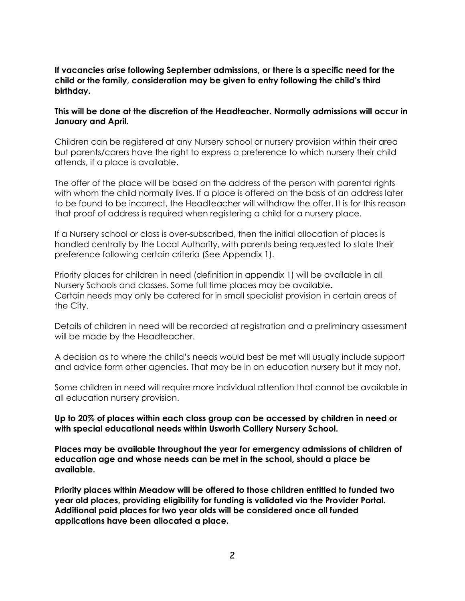### **If vacancies arise following September admissions, or there is a specific need for the child or the family, consideration may be given to entry following the child's third birthday.**

### **This will be done at the discretion of the Headteacher. Normally admissions will occur in January and April.**

Children can be registered at any Nursery school or nursery provision within their area but parents/carers have the right to express a preference to which nursery their child attends, if a place is available.

The offer of the place will be based on the address of the person with parental rights with whom the child normally lives. If a place is offered on the basis of an address later to be found to be incorrect, the Headteacher will withdraw the offer. It is for this reason that proof of address is required when registering a child for a nursery place.

If a Nursery school or class is over-subscribed, then the initial allocation of places is handled centrally by the Local Authority, with parents being requested to state their preference following certain criteria (See Appendix 1).

Priority places for children in need (definition in appendix 1) will be available in all Nursery Schools and classes. Some full time places may be available. Certain needs may only be catered for in small specialist provision in certain areas of the City.

Details of children in need will be recorded at registration and a preliminary assessment will be made by the Headteacher.

A decision as to where the child's needs would best be met will usually include support and advice form other agencies. That may be in an education nursery but it may not.

Some children in need will require more individual attention that cannot be available in all education nursery provision.

**Up to 20% of places within each class group can be accessed by children in need or with special educational needs within Usworth Colliery Nursery School.**

**Places may be available throughout the year for emergency admissions of children of education age and whose needs can be met in the school, should a place be available.**

**Priority places within Meadow will be offered to those children entitled to funded two year old places, providing eligibility for funding is validated via the Provider Portal. Additional paid places for two year olds will be considered once all funded applications have been allocated a place.**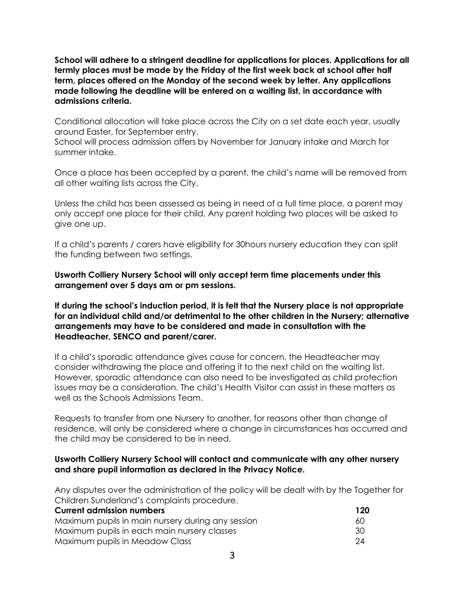**School will adhere to a stringent deadline for applications for places. Applications for all termly places must be made by the Friday of the first week back at school after half term, places offered on the Monday of the second week by letter. Any applications made following the deadline will be entered on a waiting list, in accordance with admissions criteria.** 

Conditional allocation will take place across the City on a set date each year, usually around Easter, for September entry.

School will process admission offers by November for January intake and March for summer intake.

Once a place has been accepted by a parent, the child's name will be removed from all other waiting lists across the City.

Unless the child has been assessed as being in need of a full time place, a parent may only accept one place for their child. Any parent holding two places will be asked to give one up.

If a child's parents / carers have eligibility for 30hours nursery education they can split the funding between two settings.

**Usworth Colliery Nursery School will only accept term time placements under this arrangement over 5 days am or pm sessions.**

**If during the school's induction period, it is felt that the Nursery place is not appropriate for an individual child and/or detrimental to the other children in the Nursery; alternative arrangements may have to be considered and made in consultation with the Headteacher, SENCO and parent/carer.**

If a child's sporadic attendance gives cause for concern, the Headteacher may consider withdrawing the place and offering it to the next child on the waiting list. However, sporadic attendance can also need to be investigated as child protection issues may be a consideration. The child's Health Visitor can assist in these matters as well as the Schools Admissions Team.

Requests to transfer from one Nursery to another, for reasons other than change of residence, will only be considered where a change in circumstances has occurred and the child may be considered to be in need.

## **Usworth Colliery Nursery School will contact and communicate with any other nursery and share pupil information as declared in the Privacy Notice.**

Any disputes over the administration of the policy will be dealt with by the Together for Children Sunderland's complaints procedure.

| <b>Current admission numbers</b>                  | 120 |
|---------------------------------------------------|-----|
| Maximum pupils in main nursery during any session | 60  |
| Maximum pupils in each main nursery classes       | -30 |
| Maximum pupils in Meadow Class                    | 24  |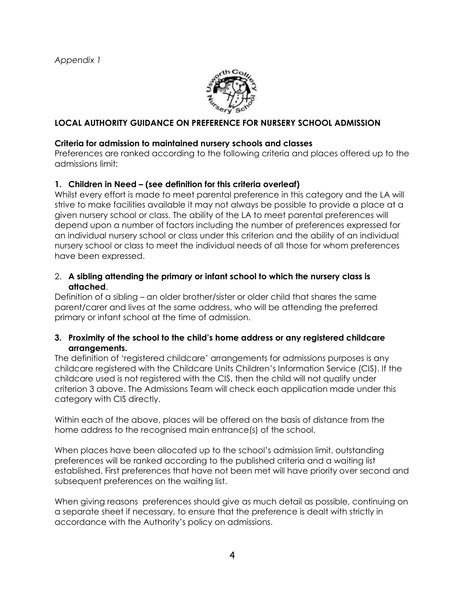

# **LOCAL AUTHORITY GUIDANCE ON PREFERENCE FOR NURSERY SCHOOL ADMISSION**

## **Criteria for admission to maintained nursery schools and classes**

Preferences are ranked according to the following criteria and places offered up to the admissions limit:

# **1. Children in Need – (see definition for this criteria overleaf)**

Whilst every effort is made to meet parental preference in this category and the LA will strive to make facilities available it may not always be possible to provide a place at a given nursery school or class. The ability of the LA to meet parental preferences will depend upon a number of factors including the number of preferences expressed for an individual nursery school or class under this criterion and the ability of an individual nursery school or class to meet the individual needs of all those for whom preferences have been expressed.

### 2. **A sibling attending the primary or infant school to which the nursery class is attached**.

Definition of a sibling – an older brother/sister or older child that shares the same parent/carer and lives at the same address, who will be attending the preferred primary or infant school at the time of admission.

## **3. Proximity of the school to the child's home address or any registered childcare arrangements.**

The definition of 'registered childcare' arrangements for admissions purposes is any childcare registered with the Childcare Units Children's Information Service (CIS). If the childcare used is not registered with the CIS, then the child will not qualify under criterion 3 above. The Admissions Team will check each application made under this category with CIS directly.

Within each of the above, places will be offered on the basis of distance from the home address to the recognised main entrance(s) of the school.

When places have been allocated up to the school's admission limit, outstanding preferences will be ranked according to the published criteria and a waiting list established. First preferences that have not been met will have priority over second and subsequent preferences on the waiting list.

When giving reasons preferences should give as much detail as possible, continuing on a separate sheet if necessary, to ensure that the preference is dealt with strictly in accordance with the Authority's policy on admissions.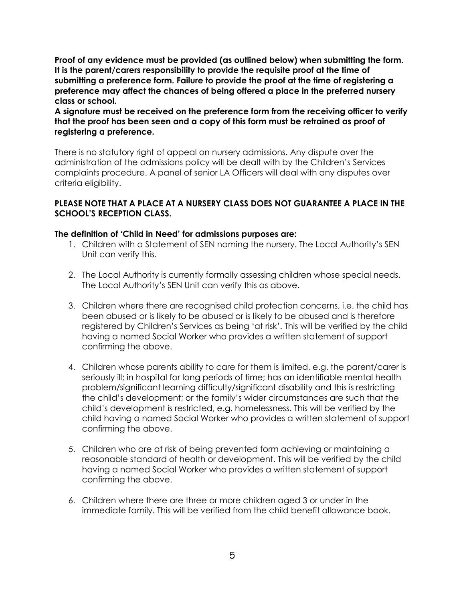**Proof of any evidence must be provided (as outlined below) when submitting the form. It is the parent/carers responsibility to provide the requisite proof at the time of submitting a preference form. Failure to provide the proof at the time of registering a preference may affect the chances of being offered a place in the preferred nursery class or school.** 

**A signature must be received on the preference form from the receiving officer to verify that the proof has been seen and a copy of this form must be retrained as proof of registering a preference.**

There is no statutory right of appeal on nursery admissions. Any dispute over the administration of the admissions policy will be dealt with by the Children's Services complaints procedure. A panel of senior LA Officers will deal with any disputes over criteria eligibility.

## **PLEASE NOTE THAT A PLACE AT A NURSERY CLASS DOES NOT GUARANTEE A PLACE IN THE SCHOOL'S RECEPTION CLASS.**

#### **The definition of 'Child in Need' for admissions purposes are:**

- 1. Children with a Statement of SEN naming the nursery. The Local Authority's SEN Unit can verify this.
- 2. The Local Authority is currently formally assessing children whose special needs. The Local Authority's SEN Unit can verify this as above.
- 3. Children where there are recognised child protection concerns, i.e. the child has been abused or is likely to be abused or is likely to be abused and is therefore registered by Children's Services as being 'at risk'. This will be verified by the child having a named Social Worker who provides a written statement of support confirming the above.
- 4. Children whose parents ability to care for them is limited, e.g. the parent/carer is seriously ill; in hospital for long periods of time; has an identifiable mental health problem/significant learning difficulty/significant disability and this is restricting the child's development; or the family's wider circumstances are such that the child's development is restricted, e.g. homelessness. This will be verified by the child having a named Social Worker who provides a written statement of support confirming the above.
- 5. Children who are at risk of being prevented form achieving or maintaining a reasonable standard of health or development. This will be verified by the child having a named Social Worker who provides a written statement of support confirming the above.
- 6. Children where there are three or more children aged 3 or under in the immediate family. This will be verified from the child benefit allowance book.